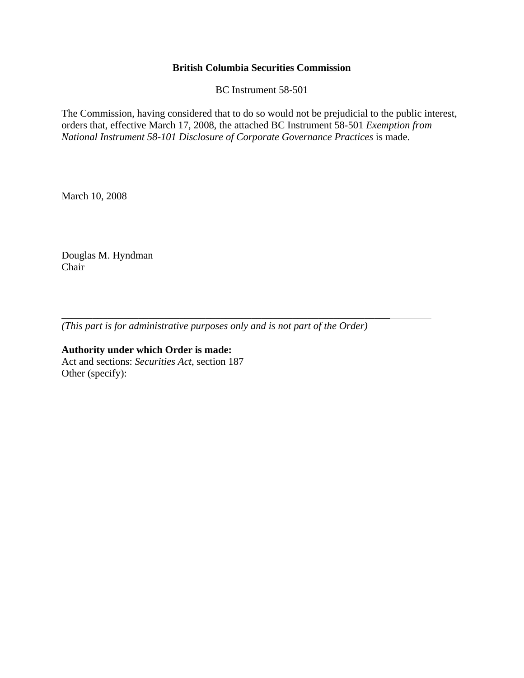## **British Columbia Securities Commission**

BC Instrument 58-501

The Commission, having considered that to do so would not be prejudicial to the public interest, orders that, effective March 17, 2008, the attached BC Instrument 58-501 *Exemption from National Instrument 58-101 Disclosure of Corporate Governance Practices* is made.

March 10, 2008

Douglas M. Hyndman Chair

*(This part is for administrative purposes only and is not part of the Order)* 

\_\_\_\_\_\_\_\_\_\_\_\_\_\_\_\_\_\_\_\_\_\_\_\_\_\_\_\_\_\_\_\_\_\_\_\_\_\_\_\_\_\_\_\_\_\_\_\_\_\_\_\_\_\_\_\_\_\_\_\_\_\_\_\_

**Authority under which Order is made:**  Act and sections: *Securities Act*, section 187 Other (specify):